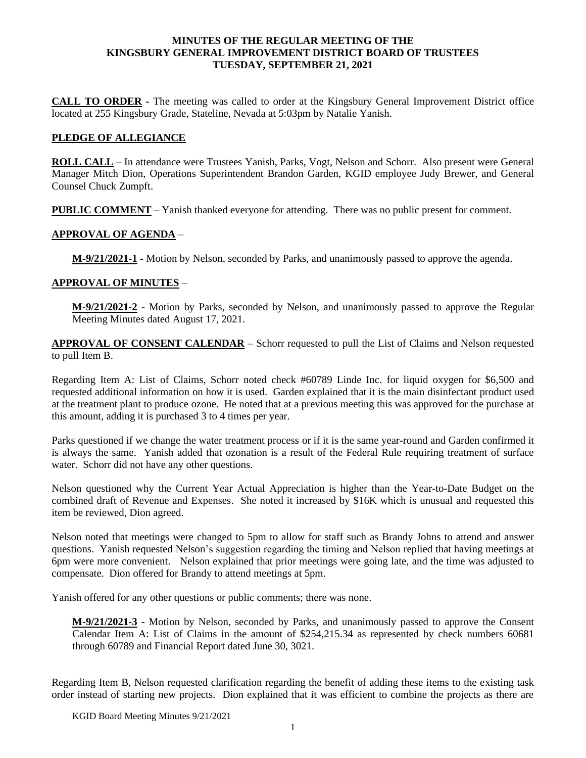## **MINUTES OF THE REGULAR MEETING OF THE KINGSBURY GENERAL IMPROVEMENT DISTRICT BOARD OF TRUSTEES TUESDAY, SEPTEMBER 21, 2021**

**CALL TO ORDER -** The meeting was called to order at the Kingsbury General Improvement District office located at 255 Kingsbury Grade, Stateline, Nevada at 5:03pm by Natalie Yanish.

## **PLEDGE OF ALLEGIANCE**

**ROLL CALL** – In attendance were Trustees Yanish, Parks, Vogt, Nelson and Schorr. Also present were General Manager Mitch Dion, Operations Superintendent Brandon Garden, KGID employee Judy Brewer, and General Counsel Chuck Zumpft.

**PUBLIC COMMENT** – Yanish thanked everyone for attending. There was no public present for comment.

## **APPROVAL OF AGENDA** –

**M-9/21/2021-1 -** Motion by Nelson, seconded by Parks, and unanimously passed to approve the agenda.

## **APPROVAL OF MINUTES** –

**M-9/21/2021-2 -** Motion by Parks, seconded by Nelson, and unanimously passed to approve the Regular Meeting Minutes dated August 17, 2021.

**APPROVAL OF CONSENT CALENDAR** – Schorr requested to pull the List of Claims and Nelson requested to pull Item B.

Regarding Item A: List of Claims, Schorr noted check #60789 Linde Inc. for liquid oxygen for \$6,500 and requested additional information on how it is used. Garden explained that it is the main disinfectant product used at the treatment plant to produce ozone. He noted that at a previous meeting this was approved for the purchase at this amount, adding it is purchased 3 to 4 times per year.

Parks questioned if we change the water treatment process or if it is the same year-round and Garden confirmed it is always the same. Yanish added that ozonation is a result of the Federal Rule requiring treatment of surface water. Schorr did not have any other questions.

Nelson questioned why the Current Year Actual Appreciation is higher than the Year-to-Date Budget on the combined draft of Revenue and Expenses. She noted it increased by \$16K which is unusual and requested this item be reviewed, Dion agreed.

Nelson noted that meetings were changed to 5pm to allow for staff such as Brandy Johns to attend and answer questions. Yanish requested Nelson's suggestion regarding the timing and Nelson replied that having meetings at 6pm were more convenient. Nelson explained that prior meetings were going late, and the time was adjusted to compensate. Dion offered for Brandy to attend meetings at 5pm.

Yanish offered for any other questions or public comments; there was none.

**M-9/21/2021-3 -** Motion by Nelson, seconded by Parks, and unanimously passed to approve the Consent Calendar Item A: List of Claims in the amount of \$254,215.34 as represented by check numbers 60681 through 60789 and Financial Report dated June 30, 3021.

Regarding Item B, Nelson requested clarification regarding the benefit of adding these items to the existing task order instead of starting new projects. Dion explained that it was efficient to combine the projects as there are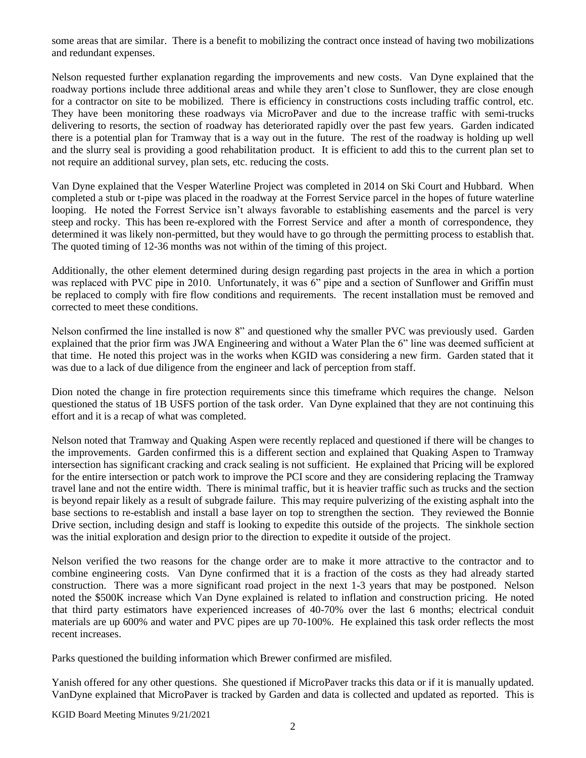some areas that are similar. There is a benefit to mobilizing the contract once instead of having two mobilizations and redundant expenses.

Nelson requested further explanation regarding the improvements and new costs. Van Dyne explained that the roadway portions include three additional areas and while they aren't close to Sunflower, they are close enough for a contractor on site to be mobilized. There is efficiency in constructions costs including traffic control, etc. They have been monitoring these roadways via MicroPaver and due to the increase traffic with semi-trucks delivering to resorts, the section of roadway has deteriorated rapidly over the past few years. Garden indicated there is a potential plan for Tramway that is a way out in the future. The rest of the roadway is holding up well and the slurry seal is providing a good rehabilitation product. It is efficient to add this to the current plan set to not require an additional survey, plan sets, etc. reducing the costs.

Van Dyne explained that the Vesper Waterline Project was completed in 2014 on Ski Court and Hubbard. When completed a stub or t-pipe was placed in the roadway at the Forrest Service parcel in the hopes of future waterline looping. He noted the Forrest Service isn't always favorable to establishing easements and the parcel is very steep and rocky. This has been re-explored with the Forrest Service and after a month of correspondence, they determined it was likely non-permitted, but they would have to go through the permitting process to establish that. The quoted timing of 12-36 months was not within of the timing of this project.

Additionally, the other element determined during design regarding past projects in the area in which a portion was replaced with PVC pipe in 2010. Unfortunately, it was 6" pipe and a section of Sunflower and Griffin must be replaced to comply with fire flow conditions and requirements. The recent installation must be removed and corrected to meet these conditions.

Nelson confirmed the line installed is now 8" and questioned why the smaller PVC was previously used. Garden explained that the prior firm was JWA Engineering and without a Water Plan the 6" line was deemed sufficient at that time. He noted this project was in the works when KGID was considering a new firm. Garden stated that it was due to a lack of due diligence from the engineer and lack of perception from staff.

Dion noted the change in fire protection requirements since this timeframe which requires the change. Nelson questioned the status of 1B USFS portion of the task order. Van Dyne explained that they are not continuing this effort and it is a recap of what was completed.

Nelson noted that Tramway and Quaking Aspen were recently replaced and questioned if there will be changes to the improvements. Garden confirmed this is a different section and explained that Quaking Aspen to Tramway intersection has significant cracking and crack sealing is not sufficient. He explained that Pricing will be explored for the entire intersection or patch work to improve the PCI score and they are considering replacing the Tramway travel lane and not the entire width. There is minimal traffic, but it is heavier traffic such as trucks and the section is beyond repair likely as a result of subgrade failure. This may require pulverizing of the existing asphalt into the base sections to re-establish and install a base layer on top to strengthen the section. They reviewed the Bonnie Drive section, including design and staff is looking to expedite this outside of the projects. The sinkhole section was the initial exploration and design prior to the direction to expedite it outside of the project.

Nelson verified the two reasons for the change order are to make it more attractive to the contractor and to combine engineering costs. Van Dyne confirmed that it is a fraction of the costs as they had already started construction. There was a more significant road project in the next 1-3 years that may be postponed. Nelson noted the \$500K increase which Van Dyne explained is related to inflation and construction pricing. He noted that third party estimators have experienced increases of 40-70% over the last 6 months; electrical conduit materials are up 600% and water and PVC pipes are up 70-100%. He explained this task order reflects the most recent increases.

Parks questioned the building information which Brewer confirmed are misfiled.

Yanish offered for any other questions. She questioned if MicroPaver tracks this data or if it is manually updated. VanDyne explained that MicroPaver is tracked by Garden and data is collected and updated as reported. This is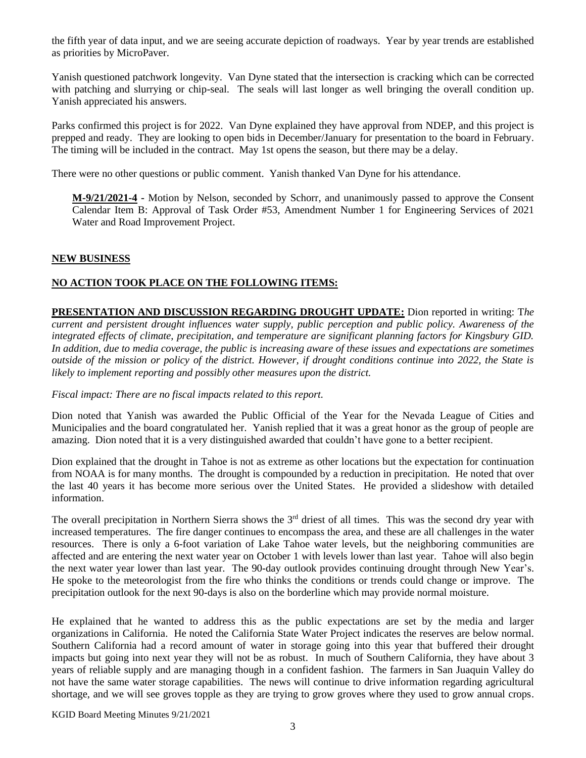the fifth year of data input, and we are seeing accurate depiction of roadways. Year by year trends are established as priorities by MicroPaver.

Yanish questioned patchwork longevity. Van Dyne stated that the intersection is cracking which can be corrected with patching and slurrying or chip-seal. The seals will last longer as well bringing the overall condition up. Yanish appreciated his answers.

Parks confirmed this project is for 2022. Van Dyne explained they have approval from NDEP, and this project is prepped and ready. They are looking to open bids in December/January for presentation to the board in February. The timing will be included in the contract. May 1st opens the season, but there may be a delay.

There were no other questions or public comment. Yanish thanked Van Dyne for his attendance.

**M-9/21/2021-4 -** Motion by Nelson, seconded by Schorr, and unanimously passed to approve the Consent Calendar Item B: Approval of Task Order #53, Amendment Number 1 for Engineering Services of 2021 Water and Road Improvement Project.

## **NEW BUSINESS**

## **NO ACTION TOOK PLACE ON THE FOLLOWING ITEMS:**

**PRESENTATION AND DISCUSSION REGARDING DROUGHT UPDATE:** Dion reported in writing: T*he current and persistent drought influences water supply, public perception and public policy. Awareness of the integrated effects of climate, precipitation, and temperature are significant planning factors for Kingsbury GID. In addition, due to media coverage, the public is increasing aware of these issues and expectations are sometimes outside of the mission or policy of the district. However, if drought conditions continue into 2022, the State is likely to implement reporting and possibly other measures upon the district.* 

*Fiscal impact: There are no fiscal impacts related to this report.* 

Dion noted that Yanish was awarded the Public Official of the Year for the Nevada League of Cities and Municipalies and the board congratulated her. Yanish replied that it was a great honor as the group of people are amazing. Dion noted that it is a very distinguished awarded that couldn't have gone to a better recipient.

Dion explained that the drought in Tahoe is not as extreme as other locations but the expectation for continuation from NOAA is for many months. The drought is compounded by a reduction in precipitation. He noted that over the last 40 years it has become more serious over the United States. He provided a slideshow with detailed information.

The overall precipitation in Northern Sierra shows the  $3<sup>rd</sup>$  driest of all times. This was the second dry year with increased temperatures. The fire danger continues to encompass the area, and these are all challenges in the water resources. There is only a 6-foot variation of Lake Tahoe water levels, but the neighboring communities are affected and are entering the next water year on October 1 with levels lower than last year. Tahoe will also begin the next water year lower than last year. The 90-day outlook provides continuing drought through New Year's. He spoke to the meteorologist from the fire who thinks the conditions or trends could change or improve. The precipitation outlook for the next 90-days is also on the borderline which may provide normal moisture.

He explained that he wanted to address this as the public expectations are set by the media and larger organizations in California. He noted the California State Water Project indicates the reserves are below normal. Southern California had a record amount of water in storage going into this year that buffered their drought impacts but going into next year they will not be as robust. In much of Southern California, they have about 3 years of reliable supply and are managing though in a confident fashion. The farmers in San Juaquin Valley do not have the same water storage capabilities. The news will continue to drive information regarding agricultural shortage, and we will see groves topple as they are trying to grow groves where they used to grow annual crops.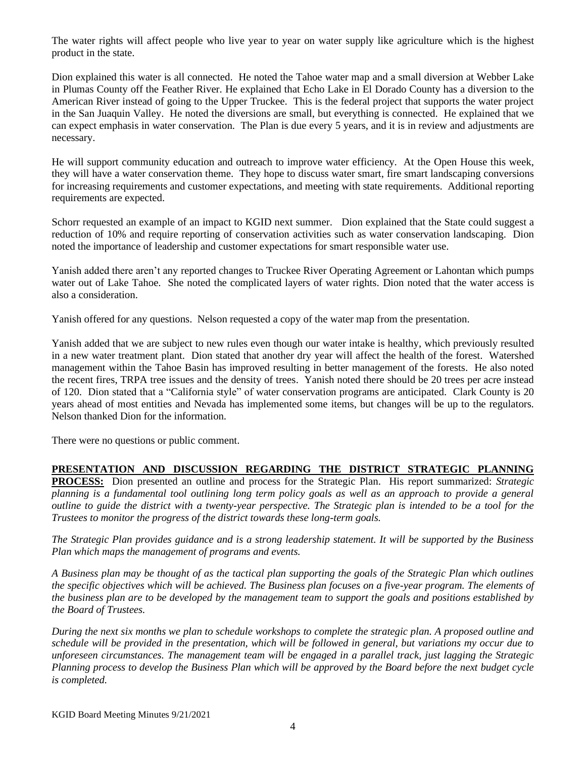The water rights will affect people who live year to year on water supply like agriculture which is the highest product in the state.

Dion explained this water is all connected. He noted the Tahoe water map and a small diversion at Webber Lake in Plumas County off the Feather River. He explained that Echo Lake in El Dorado County has a diversion to the American River instead of going to the Upper Truckee. This is the federal project that supports the water project in the San Juaquin Valley. He noted the diversions are small, but everything is connected. He explained that we can expect emphasis in water conservation. The Plan is due every 5 years, and it is in review and adjustments are necessary.

He will support community education and outreach to improve water efficiency. At the Open House this week, they will have a water conservation theme. They hope to discuss water smart, fire smart landscaping conversions for increasing requirements and customer expectations, and meeting with state requirements. Additional reporting requirements are expected.

Schorr requested an example of an impact to KGID next summer. Dion explained that the State could suggest a reduction of 10% and require reporting of conservation activities such as water conservation landscaping. Dion noted the importance of leadership and customer expectations for smart responsible water use.

Yanish added there aren't any reported changes to Truckee River Operating Agreement or Lahontan which pumps water out of Lake Tahoe. She noted the complicated layers of water rights. Dion noted that the water access is also a consideration.

Yanish offered for any questions. Nelson requested a copy of the water map from the presentation.

Yanish added that we are subject to new rules even though our water intake is healthy, which previously resulted in a new water treatment plant. Dion stated that another dry year will affect the health of the forest. Watershed management within the Tahoe Basin has improved resulting in better management of the forests. He also noted the recent fires, TRPA tree issues and the density of trees. Yanish noted there should be 20 trees per acre instead of 120. Dion stated that a "California style" of water conservation programs are anticipated. Clark County is 20 years ahead of most entities and Nevada has implemented some items, but changes will be up to the regulators. Nelson thanked Dion for the information.

There were no questions or public comment.

# **PRESENTATION AND DISCUSSION REGARDING THE DISTRICT STRATEGIC PLANNING**

**PROCESS:** Dion presented an outline and process for the Strategic Plan. His report summarized: *Strategic planning is a fundamental tool outlining long term policy goals as well as an approach to provide a general outline to guide the district with a twenty-year perspective. The Strategic plan is intended to be a tool for the Trustees to monitor the progress of the district towards these long-term goals.* 

*The Strategic Plan provides guidance and is a strong leadership statement. It will be supported by the Business Plan which maps the management of programs and events.* 

*A Business plan may be thought of as the tactical plan supporting the goals of the Strategic Plan which outlines the specific objectives which will be achieved. The Business plan focuses on a five-year program. The elements of the business plan are to be developed by the management team to support the goals and positions established by the Board of Trustees.* 

*During the next six months we plan to schedule workshops to complete the strategic plan. A proposed outline and schedule will be provided in the presentation, which will be followed in general, but variations my occur due to unforeseen circumstances. The management team will be engaged in a parallel track, just lagging the Strategic Planning process to develop the Business Plan which will be approved by the Board before the next budget cycle is completed.*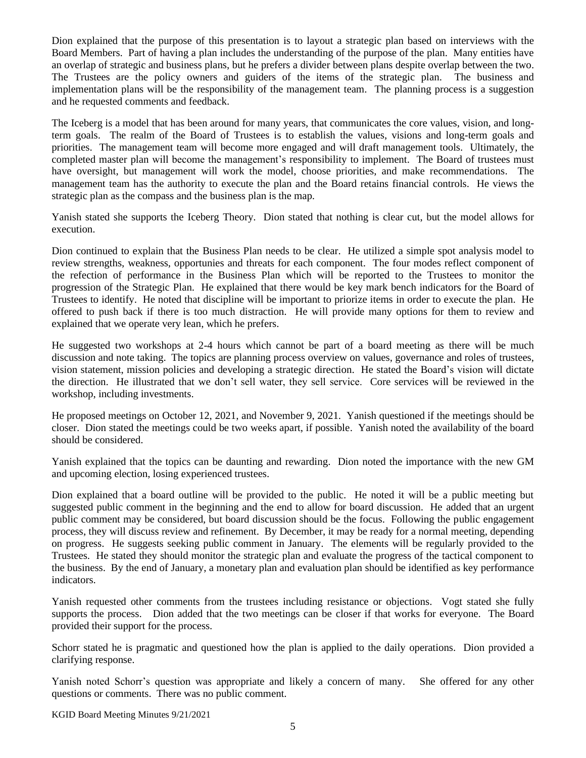Dion explained that the purpose of this presentation is to layout a strategic plan based on interviews with the Board Members. Part of having a plan includes the understanding of the purpose of the plan. Many entities have an overlap of strategic and business plans, but he prefers a divider between plans despite overlap between the two. The Trustees are the policy owners and guiders of the items of the strategic plan. The business and implementation plans will be the responsibility of the management team. The planning process is a suggestion and he requested comments and feedback.

The Iceberg is a model that has been around for many years, that communicates the core values, vision, and longterm goals. The realm of the Board of Trustees is to establish the values, visions and long-term goals and priorities. The management team will become more engaged and will draft management tools. Ultimately, the completed master plan will become the management's responsibility to implement. The Board of trustees must have oversight, but management will work the model, choose priorities, and make recommendations. The management team has the authority to execute the plan and the Board retains financial controls. He views the strategic plan as the compass and the business plan is the map.

Yanish stated she supports the Iceberg Theory. Dion stated that nothing is clear cut, but the model allows for execution.

Dion continued to explain that the Business Plan needs to be clear. He utilized a simple spot analysis model to review strengths, weakness, opportunies and threats for each component. The four modes reflect component of the refection of performance in the Business Plan which will be reported to the Trustees to monitor the progression of the Strategic Plan. He explained that there would be key mark bench indicators for the Board of Trustees to identify. He noted that discipline will be important to priorize items in order to execute the plan. He offered to push back if there is too much distraction. He will provide many options for them to review and explained that we operate very lean, which he prefers.

He suggested two workshops at 2-4 hours which cannot be part of a board meeting as there will be much discussion and note taking. The topics are planning process overview on values, governance and roles of trustees, vision statement, mission policies and developing a strategic direction. He stated the Board's vision will dictate the direction. He illustrated that we don't sell water, they sell service. Core services will be reviewed in the workshop, including investments.

He proposed meetings on October 12, 2021, and November 9, 2021. Yanish questioned if the meetings should be closer. Dion stated the meetings could be two weeks apart, if possible. Yanish noted the availability of the board should be considered.

Yanish explained that the topics can be daunting and rewarding. Dion noted the importance with the new GM and upcoming election, losing experienced trustees.

Dion explained that a board outline will be provided to the public. He noted it will be a public meeting but suggested public comment in the beginning and the end to allow for board discussion. He added that an urgent public comment may be considered, but board discussion should be the focus. Following the public engagement process, they will discuss review and refinement. By December, it may be ready for a normal meeting, depending on progress. He suggests seeking public comment in January. The elements will be regularly provided to the Trustees. He stated they should monitor the strategic plan and evaluate the progress of the tactical component to the business. By the end of January, a monetary plan and evaluation plan should be identified as key performance indicators.

Yanish requested other comments from the trustees including resistance or objections. Vogt stated she fully supports the process. Dion added that the two meetings can be closer if that works for everyone. The Board provided their support for the process.

Schorr stated he is pragmatic and questioned how the plan is applied to the daily operations. Dion provided a clarifying response.

Yanish noted Schorr's question was appropriate and likely a concern of many. She offered for any other questions or comments. There was no public comment.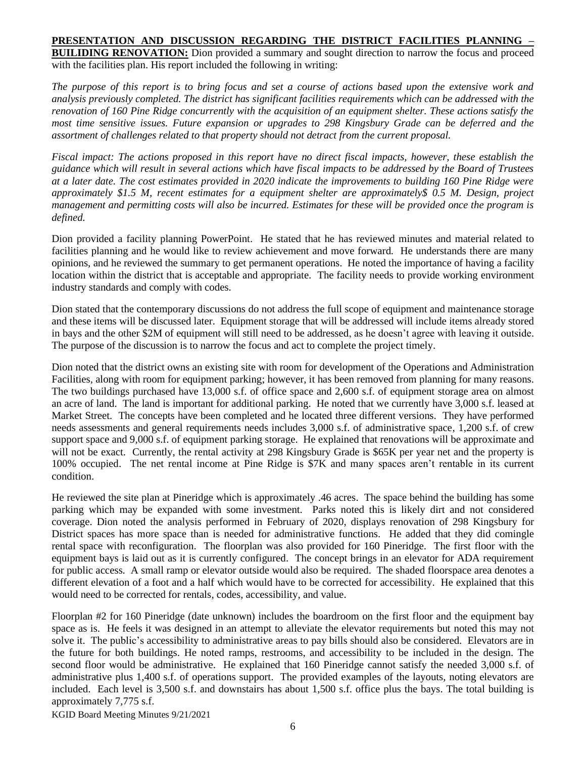**PRESENTATION AND DISCUSSION REGARDING THE DISTRICT FACILITIES PLANNING – BUILIDING RENOVATION:** Dion provided a summary and sought direction to narrow the focus and proceed with the facilities plan. His report included the following in writing:

*The purpose of this report is to bring focus and set a course of actions based upon the extensive work and analysis previously completed. The district has significant facilities requirements which can be addressed with the renovation of 160 Pine Ridge concurrently with the acquisition of an equipment shelter. These actions satisfy the most time sensitive issues. Future expansion or upgrades to 298 Kingsbury Grade can be deferred and the assortment of challenges related to that property should not detract from the current proposal.* 

*Fiscal impact: The actions proposed in this report have no direct fiscal impacts, however, these establish the guidance which will result in several actions which have fiscal impacts to be addressed by the Board of Trustees at a later date. The cost estimates provided in 2020 indicate the improvements to building 160 Pine Ridge were approximately \$1.5 M, recent estimates for a equipment shelter are approximately\$ 0.5 M. Design, project management and permitting costs will also be incurred. Estimates for these will be provided once the program is defined.*

Dion provided a facility planning PowerPoint. He stated that he has reviewed minutes and material related to facilities planning and he would like to review achievement and move forward. He understands there are many opinions, and he reviewed the summary to get permanent operations. He noted the importance of having a facility location within the district that is acceptable and appropriate. The facility needs to provide working environment industry standards and comply with codes.

Dion stated that the contemporary discussions do not address the full scope of equipment and maintenance storage and these items will be discussed later. Equipment storage that will be addressed will include items already stored in bays and the other \$2M of equipment will still need to be addressed, as he doesn't agree with leaving it outside. The purpose of the discussion is to narrow the focus and act to complete the project timely.

Dion noted that the district owns an existing site with room for development of the Operations and Administration Facilities, along with room for equipment parking; however, it has been removed from planning for many reasons. The two buildings purchased have 13,000 s.f. of office space and 2,600 s.f. of equipment storage area on almost an acre of land. The land is important for additional parking. He noted that we currently have 3,000 s.f. leased at Market Street. The concepts have been completed and he located three different versions. They have performed needs assessments and general requirements needs includes 3,000 s.f. of administrative space, 1,200 s.f. of crew support space and 9,000 s.f. of equipment parking storage. He explained that renovations will be approximate and will not be exact. Currently, the rental activity at 298 Kingsbury Grade is \$65K per year net and the property is 100% occupied. The net rental income at Pine Ridge is \$7K and many spaces aren't rentable in its current condition.

He reviewed the site plan at Pineridge which is approximately .46 acres. The space behind the building has some parking which may be expanded with some investment. Parks noted this is likely dirt and not considered coverage. Dion noted the analysis performed in February of 2020, displays renovation of 298 Kingsbury for District spaces has more space than is needed for administrative functions. He added that they did comingle rental space with reconfiguration. The floorplan was also provided for 160 Pineridge. The first floor with the equipment bays is laid out as it is currently configured. The concept brings in an elevator for ADA requirement for public access. A small ramp or elevator outside would also be required. The shaded floorspace area denotes a different elevation of a foot and a half which would have to be corrected for accessibility. He explained that this would need to be corrected for rentals, codes, accessibility, and value.

Floorplan #2 for 160 Pineridge (date unknown) includes the boardroom on the first floor and the equipment bay space as is. He feels it was designed in an attempt to alleviate the elevator requirements but noted this may not solve it. The public's accessibility to administrative areas to pay bills should also be considered. Elevators are in the future for both buildings. He noted ramps, restrooms, and accessibility to be included in the design. The second floor would be administrative. He explained that 160 Pineridge cannot satisfy the needed 3,000 s.f. of administrative plus 1,400 s.f. of operations support. The provided examples of the layouts, noting elevators are included. Each level is 3,500 s.f. and downstairs has about 1,500 s.f. office plus the bays. The total building is approximately 7,775 s.f.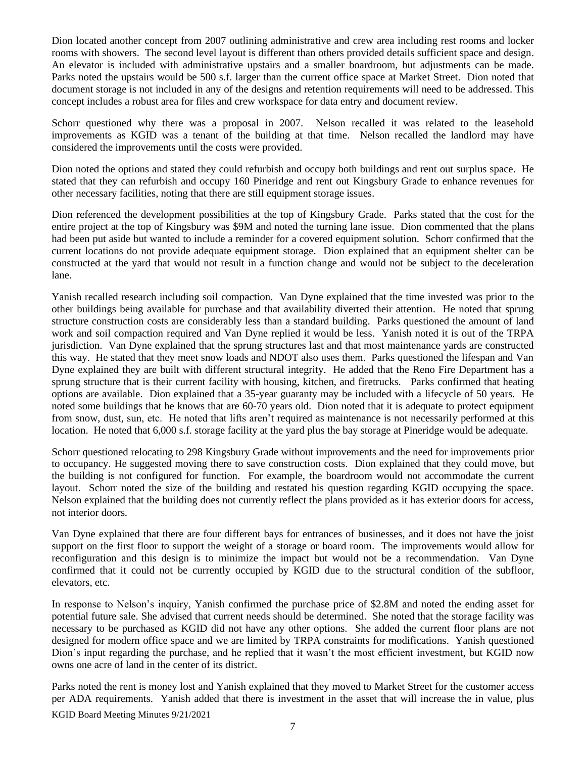Dion located another concept from 2007 outlining administrative and crew area including rest rooms and locker rooms with showers. The second level layout is different than others provided details sufficient space and design. An elevator is included with administrative upstairs and a smaller boardroom, but adjustments can be made. Parks noted the upstairs would be 500 s.f. larger than the current office space at Market Street. Dion noted that document storage is not included in any of the designs and retention requirements will need to be addressed. This concept includes a robust area for files and crew workspace for data entry and document review.

Schorr questioned why there was a proposal in 2007. Nelson recalled it was related to the leasehold improvements as KGID was a tenant of the building at that time. Nelson recalled the landlord may have considered the improvements until the costs were provided.

Dion noted the options and stated they could refurbish and occupy both buildings and rent out surplus space. He stated that they can refurbish and occupy 160 Pineridge and rent out Kingsbury Grade to enhance revenues for other necessary facilities, noting that there are still equipment storage issues.

Dion referenced the development possibilities at the top of Kingsbury Grade. Parks stated that the cost for the entire project at the top of Kingsbury was \$9M and noted the turning lane issue. Dion commented that the plans had been put aside but wanted to include a reminder for a covered equipment solution. Schorr confirmed that the current locations do not provide adequate equipment storage. Dion explained that an equipment shelter can be constructed at the yard that would not result in a function change and would not be subject to the deceleration lane.

Yanish recalled research including soil compaction. Van Dyne explained that the time invested was prior to the other buildings being available for purchase and that availability diverted their attention. He noted that sprung structure construction costs are considerably less than a standard building. Parks questioned the amount of land work and soil compaction required and Van Dyne replied it would be less. Yanish noted it is out of the TRPA jurisdiction. Van Dyne explained that the sprung structures last and that most maintenance yards are constructed this way. He stated that they meet snow loads and NDOT also uses them. Parks questioned the lifespan and Van Dyne explained they are built with different structural integrity. He added that the Reno Fire Department has a sprung structure that is their current facility with housing, kitchen, and firetrucks. Parks confirmed that heating options are available. Dion explained that a 35-year guaranty may be included with a lifecycle of 50 years. He noted some buildings that he knows that are 60-70 years old. Dion noted that it is adequate to protect equipment from snow, dust, sun, etc. He noted that lifts aren't required as maintenance is not necessarily performed at this location. He noted that 6,000 s.f. storage facility at the yard plus the bay storage at Pineridge would be adequate.

Schorr questioned relocating to 298 Kingsbury Grade without improvements and the need for improvements prior to occupancy. He suggested moving there to save construction costs. Dion explained that they could move, but the building is not configured for function. For example, the boardroom would not accommodate the current layout. Schorr noted the size of the building and restated his question regarding KGID occupying the space. Nelson explained that the building does not currently reflect the plans provided as it has exterior doors for access, not interior doors.

Van Dyne explained that there are four different bays for entrances of businesses, and it does not have the joist support on the first floor to support the weight of a storage or board room. The improvements would allow for reconfiguration and this design is to minimize the impact but would not be a recommendation. Van Dyne confirmed that it could not be currently occupied by KGID due to the structural condition of the subfloor, elevators, etc.

In response to Nelson's inquiry, Yanish confirmed the purchase price of \$2.8M and noted the ending asset for potential future sale. She advised that current needs should be determined. She noted that the storage facility was necessary to be purchased as KGID did not have any other options. She added the current floor plans are not designed for modern office space and we are limited by TRPA constraints for modifications. Yanish questioned Dion's input regarding the purchase, and he replied that it wasn't the most efficient investment, but KGID now owns one acre of land in the center of its district.

KGID Board Meeting Minutes 9/21/2021 Parks noted the rent is money lost and Yanish explained that they moved to Market Street for the customer access per ADA requirements. Yanish added that there is investment in the asset that will increase the in value, plus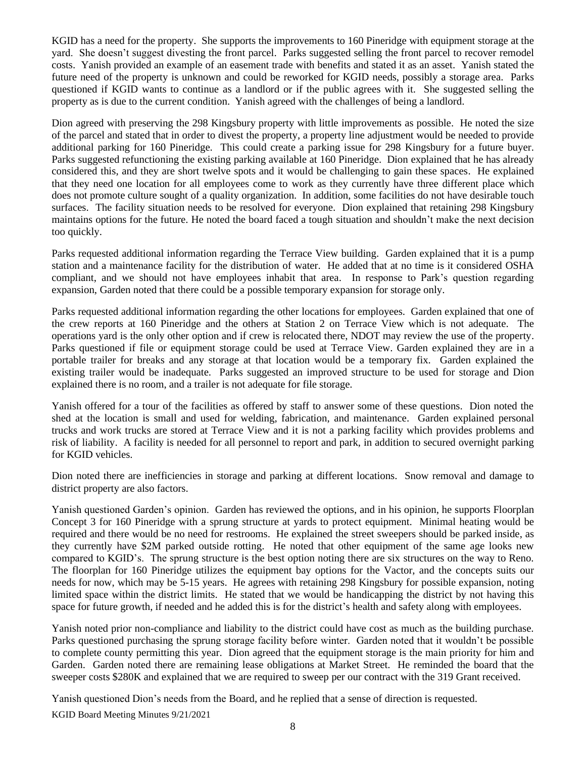KGID has a need for the property. She supports the improvements to 160 Pineridge with equipment storage at the yard. She doesn't suggest divesting the front parcel. Parks suggested selling the front parcel to recover remodel costs. Yanish provided an example of an easement trade with benefits and stated it as an asset. Yanish stated the future need of the property is unknown and could be reworked for KGID needs, possibly a storage area. Parks questioned if KGID wants to continue as a landlord or if the public agrees with it. She suggested selling the property as is due to the current condition. Yanish agreed with the challenges of being a landlord.

Dion agreed with preserving the 298 Kingsbury property with little improvements as possible. He noted the size of the parcel and stated that in order to divest the property, a property line adjustment would be needed to provide additional parking for 160 Pineridge. This could create a parking issue for 298 Kingsbury for a future buyer. Parks suggested refunctioning the existing parking available at 160 Pineridge. Dion explained that he has already considered this, and they are short twelve spots and it would be challenging to gain these spaces. He explained that they need one location for all employees come to work as they currently have three different place which does not promote culture sought of a quality organization. In addition, some facilities do not have desirable touch surfaces. The facility situation needs to be resolved for everyone. Dion explained that retaining 298 Kingsbury maintains options for the future. He noted the board faced a tough situation and shouldn't make the next decision too quickly.

Parks requested additional information regarding the Terrace View building. Garden explained that it is a pump station and a maintenance facility for the distribution of water. He added that at no time is it considered OSHA compliant, and we should not have employees inhabit that area. In response to Park's question regarding expansion, Garden noted that there could be a possible temporary expansion for storage only.

Parks requested additional information regarding the other locations for employees. Garden explained that one of the crew reports at 160 Pineridge and the others at Station 2 on Terrace View which is not adequate. The operations yard is the only other option and if crew is relocated there, NDOT may review the use of the property. Parks questioned if file or equipment storage could be used at Terrace View. Garden explained they are in a portable trailer for breaks and any storage at that location would be a temporary fix. Garden explained the existing trailer would be inadequate. Parks suggested an improved structure to be used for storage and Dion explained there is no room, and a trailer is not adequate for file storage.

Yanish offered for a tour of the facilities as offered by staff to answer some of these questions. Dion noted the shed at the location is small and used for welding, fabrication, and maintenance. Garden explained personal trucks and work trucks are stored at Terrace View and it is not a parking facility which provides problems and risk of liability. A facility is needed for all personnel to report and park, in addition to secured overnight parking for KGID vehicles.

Dion noted there are inefficiencies in storage and parking at different locations. Snow removal and damage to district property are also factors.

Yanish questioned Garden's opinion. Garden has reviewed the options, and in his opinion, he supports Floorplan Concept 3 for 160 Pineridge with a sprung structure at yards to protect equipment. Minimal heating would be required and there would be no need for restrooms. He explained the street sweepers should be parked inside, as they currently have \$2M parked outside rotting. He noted that other equipment of the same age looks new compared to KGID's. The sprung structure is the best option noting there are six structures on the way to Reno. The floorplan for 160 Pineridge utilizes the equipment bay options for the Vactor, and the concepts suits our needs for now, which may be 5-15 years. He agrees with retaining 298 Kingsbury for possible expansion, noting limited space within the district limits. He stated that we would be handicapping the district by not having this space for future growth, if needed and he added this is for the district's health and safety along with employees.

Yanish noted prior non-compliance and liability to the district could have cost as much as the building purchase. Parks questioned purchasing the sprung storage facility before winter. Garden noted that it wouldn't be possible to complete county permitting this year. Dion agreed that the equipment storage is the main priority for him and Garden. Garden noted there are remaining lease obligations at Market Street. He reminded the board that the sweeper costs \$280K and explained that we are required to sweep per our contract with the 319 Grant received.

Yanish questioned Dion's needs from the Board, and he replied that a sense of direction is requested.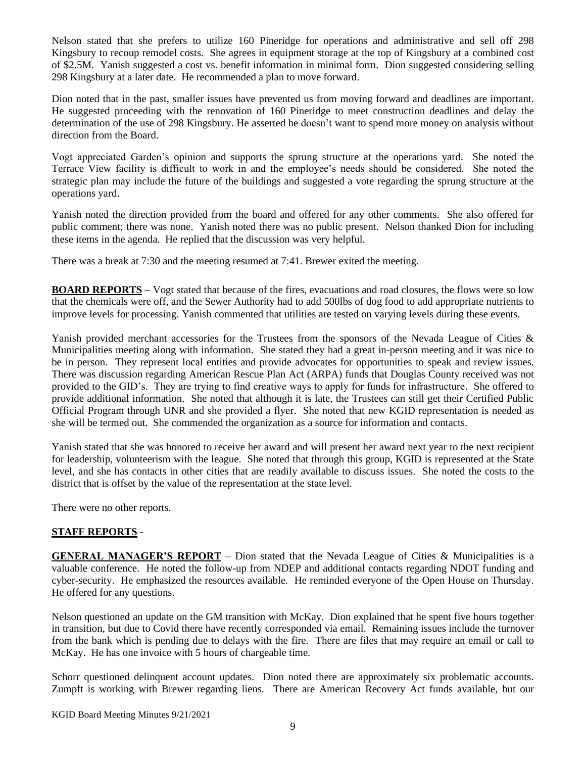Nelson stated that she prefers to utilize 160 Pineridge for operations and administrative and sell off 298 Kingsbury to recoup remodel costs. She agrees in equipment storage at the top of Kingsbury at a combined cost of \$2.5M. Yanish suggested a cost vs. benefit information in minimal form. Dion suggested considering selling 298 Kingsbury at a later date. He recommended a plan to move forward.

Dion noted that in the past, smaller issues have prevented us from moving forward and deadlines are important. He suggested proceeding with the renovation of 160 Pineridge to meet construction deadlines and delay the determination of the use of 298 Kingsbury. He asserted he doesn't want to spend more money on analysis without direction from the Board.

Vogt appreciated Garden's opinion and supports the sprung structure at the operations yard. She noted the Terrace View facility is difficult to work in and the employee's needs should be considered. She noted the strategic plan may include the future of the buildings and suggested a vote regarding the sprung structure at the operations yard.

Yanish noted the direction provided from the board and offered for any other comments. She also offered for public comment; there was none. Yanish noted there was no public present. Nelson thanked Dion for including these items in the agenda. He replied that the discussion was very helpful.

There was a break at 7:30 and the meeting resumed at 7:41. Brewer exited the meeting.

**BOARD REPORTS** – Vogt stated that because of the fires, evacuations and road closures, the flows were so low that the chemicals were off, and the Sewer Authority had to add 500lbs of dog food to add appropriate nutrients to improve levels for processing. Yanish commented that utilities are tested on varying levels during these events.

Yanish provided merchant accessories for the Trustees from the sponsors of the Nevada League of Cities & Municipalities meeting along with information. She stated they had a great in-person meeting and it was nice to be in person. They represent local entities and provide advocates for opportunities to speak and review issues. There was discussion regarding American Rescue Plan Act (ARPA) funds that Douglas County received was not provided to the GID's. They are trying to find creative ways to apply for funds for infrastructure. She offered to provide additional information. She noted that although it is late, the Trustees can still get their Certified Public Official Program through UNR and she provided a flyer. She noted that new KGID representation is needed as she will be termed out. She commended the organization as a source for information and contacts.

Yanish stated that she was honored to receive her award and will present her award next year to the next recipient for leadership, volunteerism with the league. She noted that through this group, KGID is represented at the State level, and she has contacts in other cities that are readily available to discuss issues. She noted the costs to the district that is offset by the value of the representation at the state level.

There were no other reports.

# **STAFF REPORTS** -

**GENERAL MANAGER'S REPORT** – Dion stated that the Nevada League of Cities & Municipalities is a valuable conference. He noted the follow-up from NDEP and additional contacts regarding NDOT funding and cyber-security. He emphasized the resources available. He reminded everyone of the Open House on Thursday. He offered for any questions.

Nelson questioned an update on the GM transition with McKay. Dion explained that he spent five hours together in transition, but due to Covid there have recently corresponded via email. Remaining issues include the turnover from the bank which is pending due to delays with the fire. There are files that may require an email or call to McKay. He has one invoice with 5 hours of chargeable time.

Schorr questioned delinquent account updates. Dion noted there are approximately six problematic accounts. Zumpft is working with Brewer regarding liens. There are American Recovery Act funds available, but our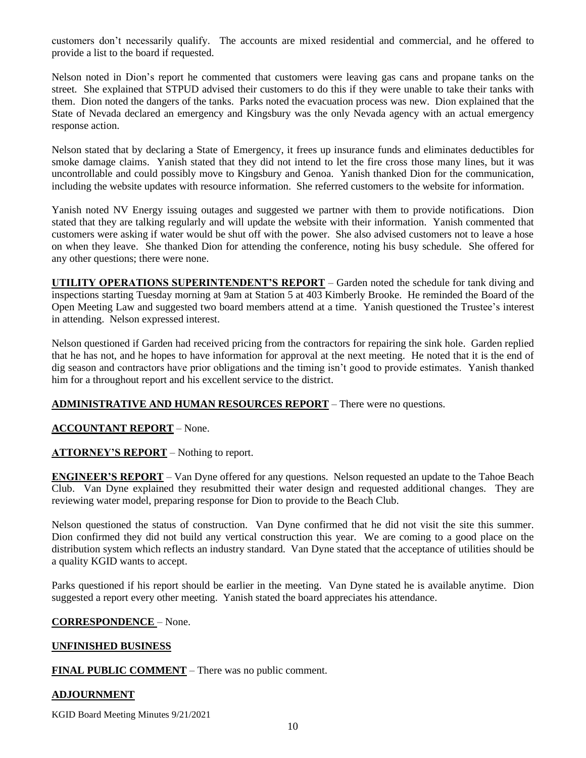customers don't necessarily qualify. The accounts are mixed residential and commercial, and he offered to provide a list to the board if requested.

Nelson noted in Dion's report he commented that customers were leaving gas cans and propane tanks on the street. She explained that STPUD advised their customers to do this if they were unable to take their tanks with them. Dion noted the dangers of the tanks. Parks noted the evacuation process was new. Dion explained that the State of Nevada declared an emergency and Kingsbury was the only Nevada agency with an actual emergency response action.

Nelson stated that by declaring a State of Emergency, it frees up insurance funds and eliminates deductibles for smoke damage claims. Yanish stated that they did not intend to let the fire cross those many lines, but it was uncontrollable and could possibly move to Kingsbury and Genoa. Yanish thanked Dion for the communication, including the website updates with resource information. She referred customers to the website for information.

Yanish noted NV Energy issuing outages and suggested we partner with them to provide notifications. Dion stated that they are talking regularly and will update the website with their information. Yanish commented that customers were asking if water would be shut off with the power. She also advised customers not to leave a hose on when they leave. She thanked Dion for attending the conference, noting his busy schedule. She offered for any other questions; there were none.

**UTILITY OPERATIONS SUPERINTENDENT'S REPORT** – Garden noted the schedule for tank diving and inspections starting Tuesday morning at 9am at Station 5 at 403 Kimberly Brooke. He reminded the Board of the Open Meeting Law and suggested two board members attend at a time. Yanish questioned the Trustee's interest in attending. Nelson expressed interest.

Nelson questioned if Garden had received pricing from the contractors for repairing the sink hole. Garden replied that he has not, and he hopes to have information for approval at the next meeting. He noted that it is the end of dig season and contractors have prior obligations and the timing isn't good to provide estimates. Yanish thanked him for a throughout report and his excellent service to the district.

# **ADMINISTRATIVE AND HUMAN RESOURCES REPORT** – There were no questions.

# **ACCOUNTANT REPORT** – None.

# **ATTORNEY'S REPORT** – Nothing to report.

**ENGINEER'S REPORT** – Van Dyne offered for any questions. Nelson requested an update to the Tahoe Beach Club. Van Dyne explained they resubmitted their water design and requested additional changes. They are reviewing water model, preparing response for Dion to provide to the Beach Club.

Nelson questioned the status of construction. Van Dyne confirmed that he did not visit the site this summer. Dion confirmed they did not build any vertical construction this year. We are coming to a good place on the distribution system which reflects an industry standard. Van Dyne stated that the acceptance of utilities should be a quality KGID wants to accept.

Parks questioned if his report should be earlier in the meeting. Van Dyne stated he is available anytime. Dion suggested a report every other meeting. Yanish stated the board appreciates his attendance.

# **CORRESPONDENCE** – None.

# **UNFINISHED BUSINESS**

**FINAL PUBLIC COMMENT** – There was no public comment.

# **ADJOURNMENT**